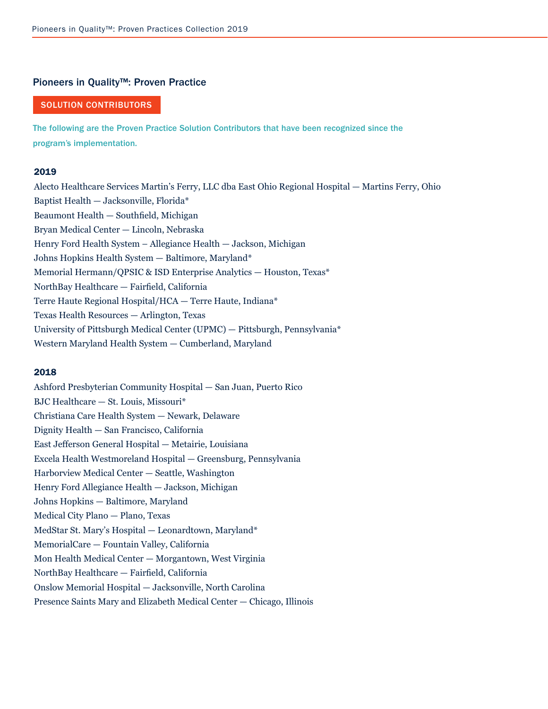#### Pioneers in Quality™: Proven Practice

## SOLUTION CONTRIBUTORS

The following are the Proven Practice Solution Contributors that have been recognized since the program's implementation.

### 2019

Alecto Healthcare Services Martin's Ferry, LLC dba East Ohio Regional Hospital — Martins Ferry, Ohio Baptist Health — Jacksonville, Florida\* Beaumont Health — Southfield, Michigan Bryan Medical Center — Lincoln, Nebraska Henry Ford Health System – Allegiance Health — Jackson, Michigan Johns Hopkins Health System — Baltimore, Maryland\* Memorial Hermann/QPSIC & ISD Enterprise Analytics — Houston, Texas\* NorthBay Healthcare — Fairfield, California Terre Haute Regional Hospital/HCA — Terre Haute, Indiana\* Texas Health Resources — Arlington, Texas University of Pittsburgh Medical Center (UPMC) — Pittsburgh, Pennsylvania\* Western Maryland Health System — Cumberland, Maryland

### 2018

Ashford Presbyterian Community Hospital — San Juan, Puerto Rico BJC Healthcare — St. Louis, Missouri\* Christiana Care Health System — Newark, Delaware Dignity Health — San Francisco, California East Jefferson General Hospital — Metairie, Louisiana Excela Health Westmoreland Hospital — Greensburg, Pennsylvania Harborview Medical Center — Seattle, Washington Henry Ford Allegiance Health — Jackson, Michigan Johns Hopkins — Baltimore, Maryland Medical City Plano — Plano, Texas MedStar St. Mary's Hospital — Leonardtown, Maryland\* MemorialCare — Fountain Valley, California Mon Health Medical Center — Morgantown, West Virginia NorthBay Healthcare — Fairfield, California Onslow Memorial Hospital — Jacksonville, North Carolina Presence Saints Mary and Elizabeth Medical Center — Chicago, Illinois